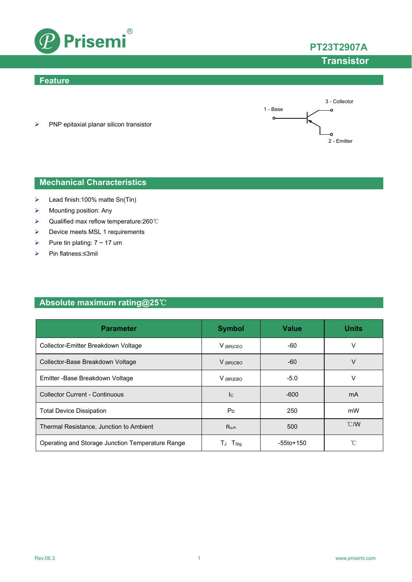

## **PT23T2907A**

# **Transistor**

### **Feature**



 $\triangleright$  PNP epitaxial planar silicon transistor

### **Mechanical Characteristics**

- Lead finish:100% matte Sn(Tin)
- $\triangleright$  Mounting position: Any
- Qualified max reflow temperature:260℃
- **▶** Device meets MSL 1 requirements
- Pure tin plating:  $7 \sim 17$  um
- Pin flatness:≤3mil

### **Absolute maximum rating@25**℃

| <b>Parameter</b>                                 | <b>Symbol</b>    | <b>Value</b>    | <b>Units</b>  |
|--------------------------------------------------|------------------|-----------------|---------------|
| Collector-Emitter Breakdown Voltage              | $V_{(BR)CEO}$    | -60             | v             |
| Collector-Base Breakdown Voltage                 | $V_{(BR)CBO}$    | $-60$           | V             |
| Emitter - Base Breakdown Voltage                 | $V_{(BR)EBO}$    | $-5.0$          | v             |
| <b>Collector Current - Continuous</b>            | c                | $-600$          | mA            |
| <b>Total Device Dissipation</b>                  | $P_D$            | 250             | mW            |
| Thermal Resistance, Junction to Ambient          | R <sub>qJA</sub> | 500             | $\degree$ C/W |
| Operating and Storage Junction Temperature Range | $I_{Stq}$        | $-55$ to $+150$ | °C            |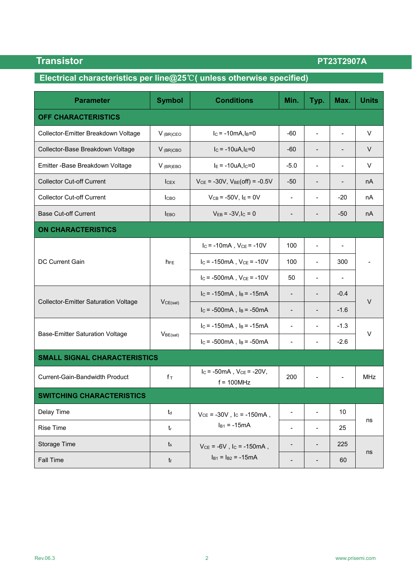## Parameter | Symbol | Conditions | Min. | Typ. | Max. | Units **OFF CHARACTERISTICS** Collector-Emitter Breakdown Voltage V (BR)CEO IC = -10mA,IB=0 -60 - - V Collector-Base Breakdown Voltage V (BR)CBO IC = -10uA,IE=0 -60 - - V Emitter -Base Breakdown Voltage V (BR)EBO IE = -10uA,IC=0 -5.0 - - V Collector Cut-off Current ICEX VCE = -30V, VBE(off) = -0.5V -50 - - nA Collector Cut-off Current  $C_{\text{UB}} = -50 \vee$ ,  $E = 0 \vee$   $C = 0 \vee$   $C = 0 \vee$ Base Cut-off Current IEBO VEB = -3V,IC = 0 - - -50 nA **ON CHARACTERISTICS** DC Current Gain  $I_c = -10 \text{ mA}$ ,  $V_{CE} = -10V$  100 -  $\vert$  $I_c$  = -150mA ,  $V_{CE}$  = -10V  $\parallel$  100  $\parallel$  -  $\parallel$  300  $\parallel$  - $I_C$  = -500mA,  $V_{CE}$  = -10V  $\begin{vmatrix} 50 & | & -1 \end{vmatrix}$  -Collector-Emitter Saturation Voltage | V<sub>CE(sat)</sub>  $I_c = -150$ mA,  $I_B = -15$ mA  $\begin{vmatrix} 1 & -1 \\ -1 & -1 \end{vmatrix}$  -0.4 V  $I_c = -500 \text{ mA}$ ,  $I_B = -50 \text{ mA}$  -  $\begin{vmatrix} 1 & -1.6 \\ -1.6 \end{vmatrix}$ Base-Emitter Saturation Voltage | VBE(sat)  $I_c = -150 \text{ mA}$ ,  $I_B = -15 \text{ mA}$  -  $\begin{vmatrix} 1 & -1 & -1.3 \\ -1 & -1 & -1.3 \end{vmatrix}$ V  $I_c = -500 \text{ mA}$ ,  $I_B = -50 \text{ mA}$  -  $\vert$  -  $\vert$  -  $\vert$  -2.6 **SMALL SIGNAL CHARACTERISTICS** Current-Gain-Bandwidth Product  $\mathbf{r}$  f  $\mathbf{r}$  $I_C = -50$ mA,  $V_{CE} = -20V$ ,  $f = 100$ MHz  $200$   $MHz$ **SWITCHING CHARACTERISTICS** Delay Time  $V_{\text{C}} = -30V$ ,  $I_{\text{C}} = -150 \text{ mA}$ ,  $I_{B1} = -15mA$  $10$ ns Rise Time the set of the set of the set of  $\mathbb{R}$  the set of the set of the set of  $\mathbb{R}$  and  $\mathbb{R}$  the set of the set of the set of the set of the set of the set of the set of the set of the set of the set of the Storage Time  $V_{CE} = -6V$ ,  $I_{C} = -150mA$ ,  $I_{B1} = I_{B2} = -15mA$ 225 ns Fall Time the set of the set of  $\mathfrak{h}_1$  -  $\mathfrak{h}_2$  -  $\mathfrak{h}_3$  -  $\mathfrak{h}_4$  -  $\mathfrak{h}_5$  -  $\mathfrak{h}_6$  -  $\mathfrak{h}_7$  -  $\mathfrak{h}_8$  -  $\mathfrak{h}_7$  -  $\mathfrak{h}_8$  -  $\mathfrak{h}_8$  -  $\mathfrak{h}_7$  -  $\mathfrak{h}_8$  -  $\mathfrak{h}_8$  -  $\mathfrak{h$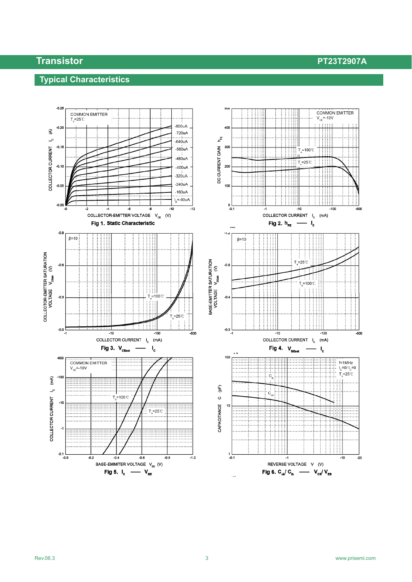## **Typical Characteristics**

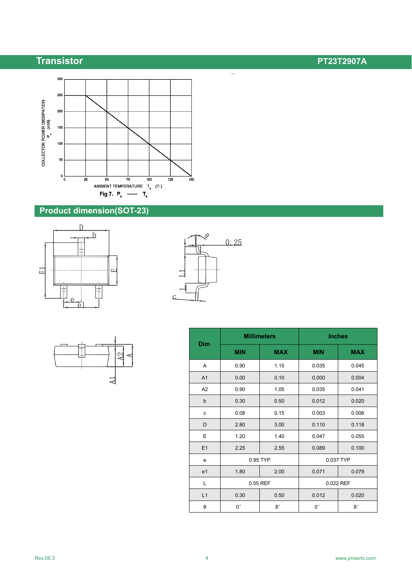

## **Product dimension(SOT-23)**







 $\overline{\mathbb{Z}_2}$ 

|                | <b>Millimeters</b> |             | <b>Inches</b> |             |
|----------------|--------------------|-------------|---------------|-------------|
| Dim            | <b>MIN</b>         | <b>MAX</b>  | <b>MIN</b>    | <b>MAX</b>  |
| Α              | 0.90               | 1.15        | 0.035         | 0.045       |
| A <sub>1</sub> | 0.00               | 0.10        | 0.000         | 0.004       |
| A <sub>2</sub> | 0.90               | 1.05        | 0.035         | 0.041       |
| $\mathsf{b}$   | 0.30               | 0.50        | 0.012         | 0.020       |
| c              | 0.08               | 0.15        | 0.003         | 0.006       |
| D              | 2.80               | 3.00        | 0.110         | 0.118       |
| E              | 1.20               | 1.40        | 0.047         | 0.055       |
| E1             | 2.25               | 2.55        | 0.089         | 0.100       |
| e              | 0.95 TYP           |             | 0.037 TYP     |             |
| e <sub>1</sub> | 1.80               | 2.00        | 0.071         | 0.079       |
| L              | 0.55 REF           |             |               | 0.022 REF   |
| L1             | 0.30               | 0.50        | 0.012         | 0.020       |
| θ              | $0^{\circ}$        | $8^{\circ}$ | $0^{\circ}$   | $8^{\circ}$ |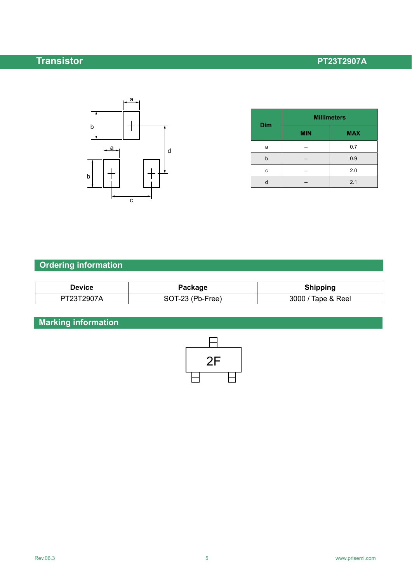

| <b>Dim</b> | <b>Millimeters</b> |            |  |
|------------|--------------------|------------|--|
|            | <b>MIN</b>         | <b>MAX</b> |  |
| a          |                    | 0.7        |  |
| b          |                    | 0.9        |  |
| с          |                    | 2.0        |  |
| d          |                    | 2.1        |  |

# **Ordering information**

| <b>Device</b> | Package          | <b>Shipping</b>    |
|---------------|------------------|--------------------|
| PT23T2907A    | SOT-23 (Pb-Free) | 3000 / Tape & Reel |

# **Marking information**